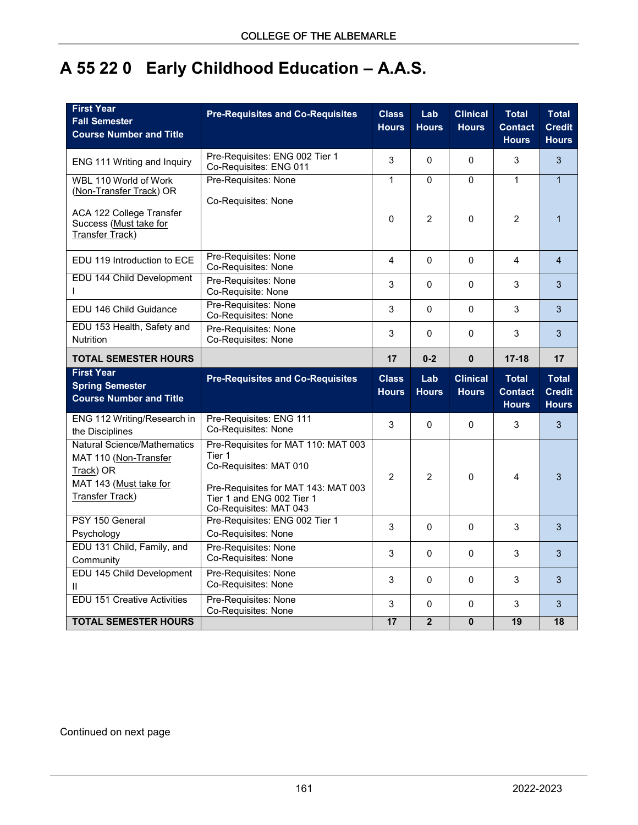# **A 55 22 0 Early Childhood Education – A.A.S.**

| <b>First Year</b><br><b>Fall Semester</b><br><b>Course Number and Title</b>                        | <b>Pre-Requisites and Co-Requisites</b>                                                    | <b>Class</b><br><b>Hours</b> | Lab<br><b>Hours</b> | <b>Clinical</b><br><b>Hours</b> | <b>Total</b><br><b>Contact</b><br><b>Hours</b> | <b>Total</b><br><b>Credit</b><br><b>Hours</b> |
|----------------------------------------------------------------------------------------------------|--------------------------------------------------------------------------------------------|------------------------------|---------------------|---------------------------------|------------------------------------------------|-----------------------------------------------|
| ENG 111 Writing and Inquiry                                                                        | Pre-Requisites: ENG 002 Tier 1<br>Co-Requisites: ENG 011                                   | 3                            | $\mathbf{0}$        | $\overline{0}$                  | 3                                              | 3                                             |
| WBL 110 World of Work<br>(Non-Transfer Track) OR                                                   | Pre-Requisites: None<br>Co-Requisites: None                                                | $\mathbf{1}$                 | 0                   | 0                               | $\mathbf{1}$                                   | $\overline{1}$                                |
| ACA 122 College Transfer<br>Success (Must take for<br>Transfer Track)                              |                                                                                            | $\mathbf{0}$                 | $\overline{2}$      | $\overline{0}$                  | $\overline{2}$                                 | $\mathbf{1}$                                  |
| EDU 119 Introduction to ECE                                                                        | Pre-Requisites: None<br>Co-Requisites: None                                                | $\overline{4}$               | $\mathbf 0$         | $\Omega$                        | $\overline{4}$                                 | $\overline{4}$                                |
| EDU 144 Child Development<br>I.                                                                    | Pre-Requisites: None<br>Co-Requisite: None                                                 | 3                            | 0                   | 0                               | 3                                              | 3                                             |
| EDU 146 Child Guidance                                                                             | Pre-Requisites: None<br>Co-Requisites: None                                                | 3                            | $\mathbf{0}$        | $\mathbf{0}$                    | 3                                              | 3                                             |
| EDU 153 Health, Safety and<br><b>Nutrition</b>                                                     | Pre-Requisites: None<br>Co-Requisites: None                                                | 3                            | $\mathbf{0}$        | $\mathbf{0}$                    | 3                                              | 3                                             |
| <b>TOTAL SEMESTER HOURS</b>                                                                        |                                                                                            | 17                           | $0 - 2$             | $\mathbf 0$                     | $17 - 18$                                      | 17                                            |
|                                                                                                    |                                                                                            |                              |                     |                                 |                                                |                                               |
| <b>First Year</b><br><b>Spring Semester</b><br><b>Course Number and Title</b>                      | <b>Pre-Requisites and Co-Requisites</b>                                                    | <b>Class</b><br><b>Hours</b> | Lab<br><b>Hours</b> | <b>Clinical</b><br><b>Hours</b> | <b>Total</b><br><b>Contact</b><br><b>Hours</b> | <b>Total</b><br><b>Credit</b><br><b>Hours</b> |
| ENG 112 Writing/Research in<br>the Disciplines                                                     | Pre-Requisites: ENG 111<br>Co-Requisites: None                                             | 3                            | $\Omega$            | 0                               | 3                                              | 3                                             |
| <b>Natural Science/Mathematics</b><br>MAT 110 (Non-Transfer<br>Track) OR<br>MAT 143 (Must take for | Pre-Requisites for MAT 110: MAT 003<br>Tier 1<br>Co-Requisites: MAT 010                    | $\overline{2}$               | $\overline{2}$      | 0                               | 4                                              | 3                                             |
| <b>Transfer Track)</b>                                                                             | Pre-Requisites for MAT 143: MAT 003<br>Tier 1 and ENG 002 Tier 1<br>Co-Requisites: MAT 043 |                              |                     |                                 |                                                |                                               |
| PSY 150 General<br>Psychology                                                                      | Pre-Requisites: ENG 002 Tier 1<br>Co-Requisites: None                                      | 3                            | $\Omega$            | 0                               | 3                                              | 3                                             |
| EDU 131 Child, Family, and<br>Community                                                            | Pre-Requisites: None<br>Co-Requisites: None                                                | 3                            | $\Omega$            | $\Omega$                        | 3                                              | 3                                             |
| EDU 145 Child Development<br>Ш                                                                     | Pre-Requisites: None<br>Co-Requisites: None                                                | 3                            | $\mathbf 0$         | $\mathbf{0}$                    | 3                                              | 3                                             |
| <b>EDU 151 Creative Activities</b>                                                                 | Pre-Requisites: None<br>Co-Requisites: None                                                | 3                            | $\mathbf{0}$        | 0                               | 3                                              | 3                                             |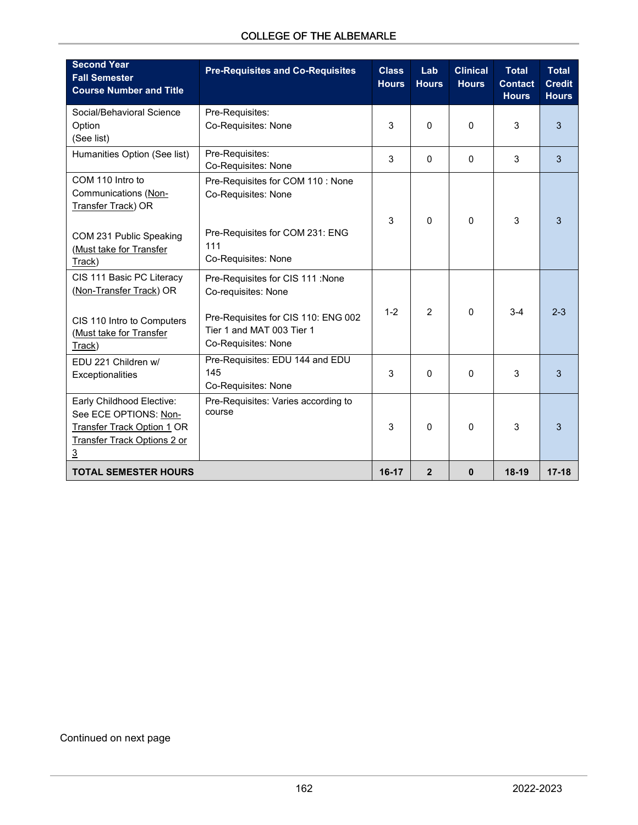|  |  | <b>COLLEGE OF THE ALBEMARLE</b> |
|--|--|---------------------------------|
|--|--|---------------------------------|

| <b>Second Year</b><br><b>Fall Semester</b><br><b>Course Number and Title</b>                                                                    | <b>Pre-Requisites and Co-Requisites</b>                                                     | <b>Class</b><br><b>Hours</b> | Lab<br><b>Hours</b> | <b>Clinical</b><br><b>Hours</b> | <b>Total</b><br><b>Contact</b><br><b>Hours</b> | <b>Total</b><br><b>Credit</b><br><b>Hours</b> |
|-------------------------------------------------------------------------------------------------------------------------------------------------|---------------------------------------------------------------------------------------------|------------------------------|---------------------|---------------------------------|------------------------------------------------|-----------------------------------------------|
| Social/Behavioral Science<br>Option<br>(See list)                                                                                               | Pre-Requisites:<br>Co-Requisites: None                                                      | 3                            | $\Omega$            | $\Omega$                        | 3                                              | 3                                             |
| Humanities Option (See list)                                                                                                                    | Pre-Requisites:<br>Co-Requisites: None                                                      | 3                            | $\mathbf{0}$        | $\mathbf{0}$                    | 3                                              | 3                                             |
| COM 110 Intro to<br>Communications (Non-<br>Transfer Track) OR                                                                                  | Pre-Requisites for COM 110 : None<br>Co-Requisites: None<br>Pre-Requisites for COM 231: ENG | 3                            | $\Omega$            | $\Omega$                        | 3                                              | 3                                             |
| COM 231 Public Speaking<br>(Must take for Transfer<br>Track)                                                                                    | 111<br>Co-Requisites: None                                                                  |                              |                     |                                 |                                                |                                               |
| CIS 111 Basic PC Literacy<br>(Non-Transfer Track) OR                                                                                            | Pre-Requisites for CIS 111 :None<br>Co-requisites: None                                     |                              |                     |                                 |                                                |                                               |
| CIS 110 Intro to Computers<br>(Must take for Transfer<br>Track)                                                                                 | Pre-Requisites for CIS 110: ENG 002<br>Tier 1 and MAT 003 Tier 1<br>Co-Requisites: None     | $1 - 2$                      | $\mathcal{P}$       | $\Omega$                        | $3-4$                                          | $2 - 3$                                       |
| EDU 221 Children w/<br>Exceptionalities                                                                                                         | Pre-Requisites: EDU 144 and EDU<br>145<br>Co-Requisites: None                               | 3                            | $\Omega$            | $\Omega$                        | 3                                              | 3                                             |
| Early Childhood Elective:<br>See ECE OPTIONS: Non-<br><b>Transfer Track Option 1 OR</b><br><b>Transfer Track Options 2 or</b><br>$\overline{3}$ | Pre-Requisites: Varies according to<br>course                                               | 3                            | $\Omega$            | $\mathbf{0}$                    | 3                                              | 3                                             |
| <b>TOTAL SEMESTER HOURS</b>                                                                                                                     |                                                                                             | $16-17$                      | $\overline{2}$      | $\mathbf{0}$                    | 18-19                                          | $17 - 18$                                     |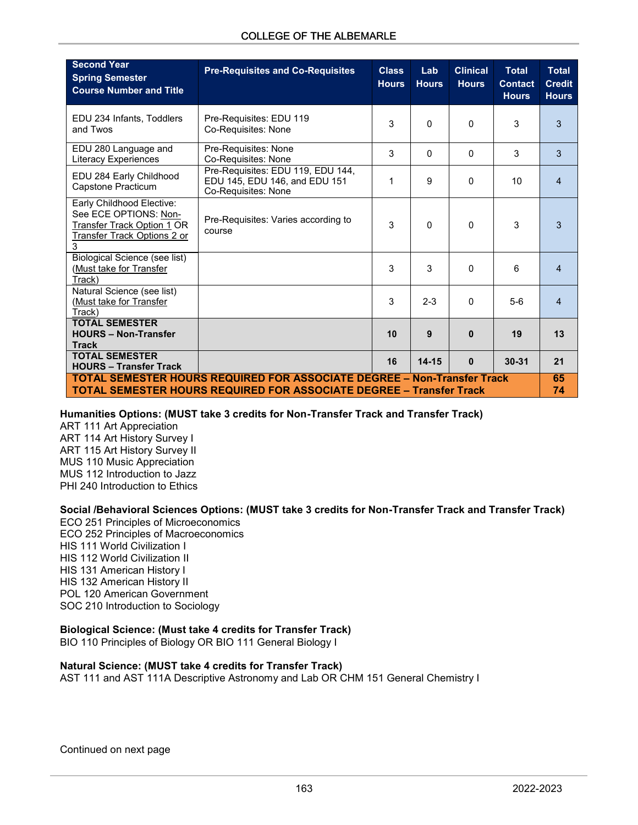| <b>Second Year</b><br><b>Spring Semester</b><br><b>Course Number and Title</b>                                                                               | <b>Pre-Requisites and Co-Requisites</b>                                                   | <b>Class</b><br><b>Hours</b> | Lab<br><b>Hours</b> | <b>Clinical</b><br><b>Hours</b> | <b>Total</b><br><b>Contact</b><br><b>Hours</b> | <b>Total</b><br><b>Credit</b><br><b>Hours</b> |
|--------------------------------------------------------------------------------------------------------------------------------------------------------------|-------------------------------------------------------------------------------------------|------------------------------|---------------------|---------------------------------|------------------------------------------------|-----------------------------------------------|
| EDU 234 Infants, Toddlers<br>and Twos                                                                                                                        | Pre-Requisites: EDU 119<br>Co-Requisites: None                                            | 3                            | $\Omega$            | 0                               | 3                                              | 3                                             |
| EDU 280 Language and<br><b>Literacy Experiences</b>                                                                                                          | Pre-Requisites: None<br>Co-Requisites: None                                               | 3                            | $\mathbf{0}$        | 0                               | 3                                              | 3                                             |
| EDU 284 Early Childhood<br>Capstone Practicum                                                                                                                | Pre-Requisites: EDU 119, EDU 144,<br>EDU 145, EDU 146, and EDU 151<br>Co-Requisites: None | 1                            | 9                   | 0                               | 10                                             | $\overline{4}$                                |
| Early Childhood Elective:<br>See ECE OPTIONS: Non-<br>Transfer Track Option 1 OR<br><b>Transfer Track Options 2 or</b><br>3                                  | Pre-Requisites: Varies according to<br>course                                             | 3                            | $\mathbf{0}$        | 0                               | 3                                              | 3                                             |
| Biological Science (see list)<br>(Must take for Transfer<br>Track)                                                                                           |                                                                                           | 3                            | 3                   | 0                               | 6                                              | 4                                             |
| Natural Science (see list)<br>(Must take for Transfer<br>Track)                                                                                              |                                                                                           | 3                            | $2 - 3$             | 0                               | $5-6$                                          | 4                                             |
| <b>TOTAL SEMESTER</b><br><b>HOURS - Non-Transfer</b><br><b>Track</b>                                                                                         |                                                                                           | 10                           | 9                   | $\mathbf{0}$                    | 19                                             | 13                                            |
| <b>TOTAL SEMESTER</b><br><b>HOURS - Transfer Track</b>                                                                                                       |                                                                                           | 16                           | $14 - 15$           | $\bf{0}$                        | $30 - 31$                                      | 21                                            |
| <b>TOTAL SEMESTER HOURS REQUIRED FOR ASSOCIATE DEGREE - Non-Transfer Track</b><br><b>TOTAL SEMESTER HOURS REQUIRED FOR ASSOCIATE DEGREE - Transfer Track</b> |                                                                                           |                              |                     |                                 | 65<br>74                                       |                                               |

**Humanities Options: (MUST take 3 credits for Non-Transfer Track and Transfer Track)**

ART 111 Art Appreciation ART 114 Art History Survey I ART 115 Art History Survey II MUS 110 Music Appreciation MUS 112 Introduction to Jazz PHI 240 Introduction to Ethics

**Social /Behavioral Sciences Options: (MUST take 3 credits for Non-Transfer Track and Transfer Track)**

ECO 251 Principles of Microeconomics ECO 252 Principles of Macroeconomics HIS 111 World Civilization I HIS 112 World Civilization II HIS 131 American History I HIS 132 American History II POL 120 American Government SOC 210 Introduction to Sociology

#### **Biological Science: (Must take 4 credits for Transfer Track)**

BIO 110 Principles of Biology OR BIO 111 General Biology I

#### **Natural Science: (MUST take 4 credits for Transfer Track)**

AST 111 and AST 111A Descriptive Astronomy and Lab OR CHM 151 General Chemistry I